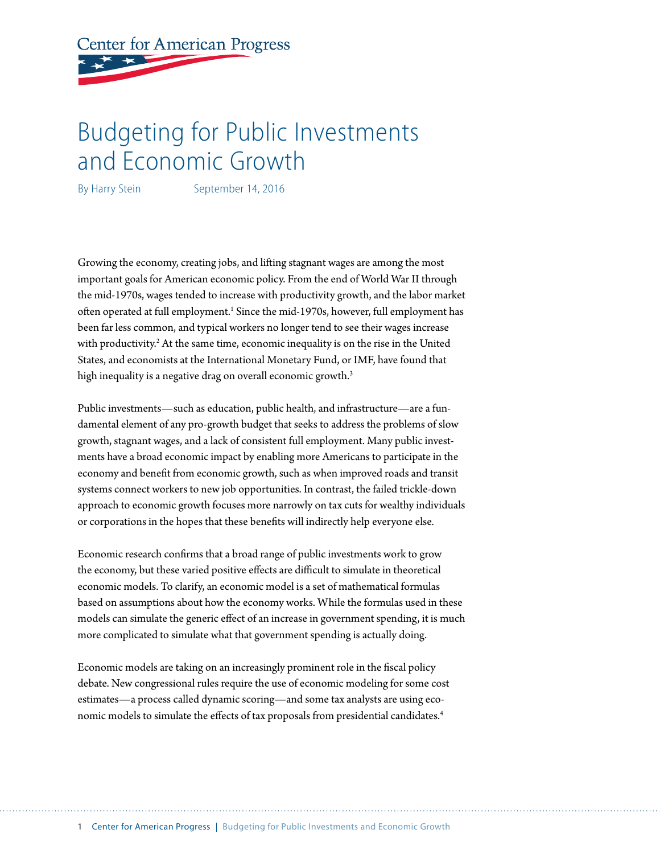**Center for American Progress** 

# Budgeting for Public Investments and Economic Growth

By Harry Stein September 14, 2016

Growing the economy, creating jobs, and lifting stagnant wages are among the most important goals for American economic policy. From the end of World War II through the mid-1970s, wages tended to increase with productivity growth, and the labor market often operated at full employment.<sup>1</sup> Since the mid-1970s, however, full employment has been far less common, and typical workers no longer tend to see their wages increase with productivity.<sup>2</sup> At the same time, economic inequality is on the rise in the United States, and economists at the International Monetary Fund, or IMF, have found that high inequality is a negative drag on overall economic growth.<sup>3</sup>

Public investments—such as education, public health, and infrastructure—are a fundamental element of any pro-growth budget that seeks to address the problems of slow growth, stagnant wages, and a lack of consistent full employment. Many public investments have a broad economic impact by enabling more Americans to participate in the economy and benefit from economic growth, such as when improved roads and transit systems connect workers to new job opportunities. In contrast, the failed trickle-down approach to economic growth focuses more narrowly on tax cuts for wealthy individuals or corporations in the hopes that these benefits will indirectly help everyone else.

Economic research confirms that a broad range of public investments work to grow the economy, but these varied positive effects are difficult to simulate in theoretical economic models. To clarify, an economic model is a set of mathematical formulas based on assumptions about how the economy works. While the formulas used in these models can simulate the generic effect of an increase in government spending, it is much more complicated to simulate what that government spending is actually doing.

Economic models are taking on an increasingly prominent role in the fiscal policy debate. New congressional rules require the use of economic modeling for some cost estimates—a process called dynamic scoring—and some tax analysts are using economic models to simulate the effects of tax proposals from presidential candidates.4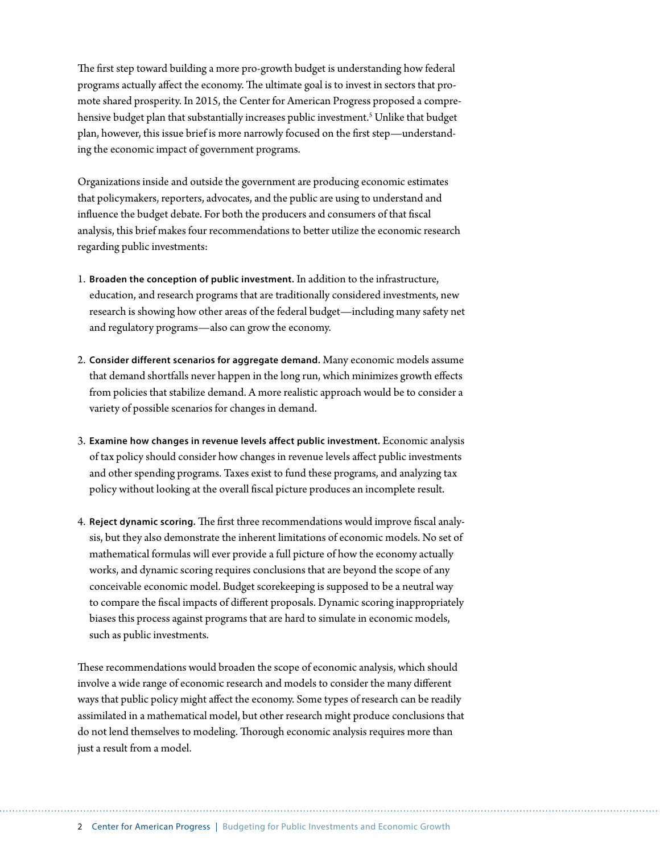The first step toward building a more pro-growth budget is understanding how federal programs actually affect the economy. The ultimate goal is to invest in sectors that promote shared prosperity. In 2015, the Center for American Progress proposed a comprehensive budget plan that substantially increases public investment.<sup>5</sup> Unlike that budget plan, however, this issue brief is more narrowly focused on the first step—understanding the economic impact of government programs.

Organizations inside and outside the government are producing economic estimates that policymakers, reporters, advocates, and the public are using to understand and influence the budget debate. For both the producers and consumers of that fiscal analysis, this brief makes four recommendations to better utilize the economic research regarding public investments:

- 1. **Broaden the conception of public investment.** In addition to the infrastructure, education, and research programs that are traditionally considered investments, new research is showing how other areas of the federal budget—including many safety net and regulatory programs—also can grow the economy.
- 2. **Consider different scenarios for aggregate demand.** Many economic models assume that demand shortfalls never happen in the long run, which minimizes growth effects from policies that stabilize demand. A more realistic approach would be to consider a variety of possible scenarios for changes in demand.
- 3. **Examine how changes in revenue levels affect public investment.** Economic analysis of tax policy should consider how changes in revenue levels affect public investments and other spending programs. Taxes exist to fund these programs, and analyzing tax policy without looking at the overall fiscal picture produces an incomplete result.
- 4. **Reject dynamic scoring.** The first three recommendations would improve fiscal analysis, but they also demonstrate the inherent limitations of economic models. No set of mathematical formulas will ever provide a full picture of how the economy actually works, and dynamic scoring requires conclusions that are beyond the scope of any conceivable economic model. Budget scorekeeping is supposed to be a neutral way to compare the fiscal impacts of different proposals. Dynamic scoring inappropriately biases this process against programs that are hard to simulate in economic models, such as public investments.

These recommendations would broaden the scope of economic analysis, which should involve a wide range of economic research and models to consider the many different ways that public policy might affect the economy. Some types of research can be readily assimilated in a mathematical model, but other research might produce conclusions that do not lend themselves to modeling. Thorough economic analysis requires more than just a result from a model.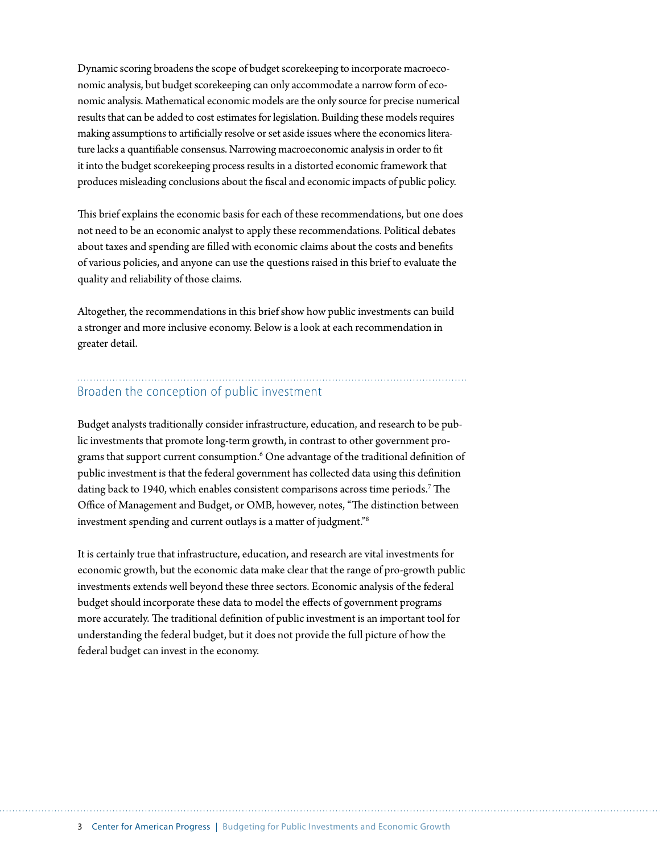Dynamic scoring broadens the scope of budget scorekeeping to incorporate macroeconomic analysis, but budget scorekeeping can only accommodate a narrow form of economic analysis. Mathematical economic models are the only source for precise numerical results that can be added to cost estimates for legislation. Building these models requires making assumptions to artificially resolve or set aside issues where the economics literature lacks a quantifiable consensus. Narrowing macroeconomic analysis in order to fit it into the budget scorekeeping process results in a distorted economic framework that produces misleading conclusions about the fiscal and economic impacts of public policy.

This brief explains the economic basis for each of these recommendations, but one does not need to be an economic analyst to apply these recommendations. Political debates about taxes and spending are filled with economic claims about the costs and benefits of various policies, and anyone can use the questions raised in this brief to evaluate the quality and reliability of those claims.

Altogether, the recommendations in this brief show how public investments can build a stronger and more inclusive economy. Below is a look at each recommendation in greater detail.

#### Broaden the conception of public investment

Budget analysts traditionally consider infrastructure, education, and research to be public investments that promote long-term growth, in contrast to other government programs that support current consumption.<sup>6</sup> One advantage of the traditional definition of public investment is that the federal government has collected data using this definition dating back to 1940, which enables consistent comparisons across time periods.<sup>7</sup> The Office of Management and Budget, or OMB, however, notes, "The distinction between investment spending and current outlays is a matter of judgment."8

It is certainly true that infrastructure, education, and research are vital investments for economic growth, but the economic data make clear that the range of pro-growth public investments extends well beyond these three sectors. Economic analysis of the federal budget should incorporate these data to model the effects of government programs more accurately. The traditional definition of public investment is an important tool for understanding the federal budget, but it does not provide the full picture of how the federal budget can invest in the economy.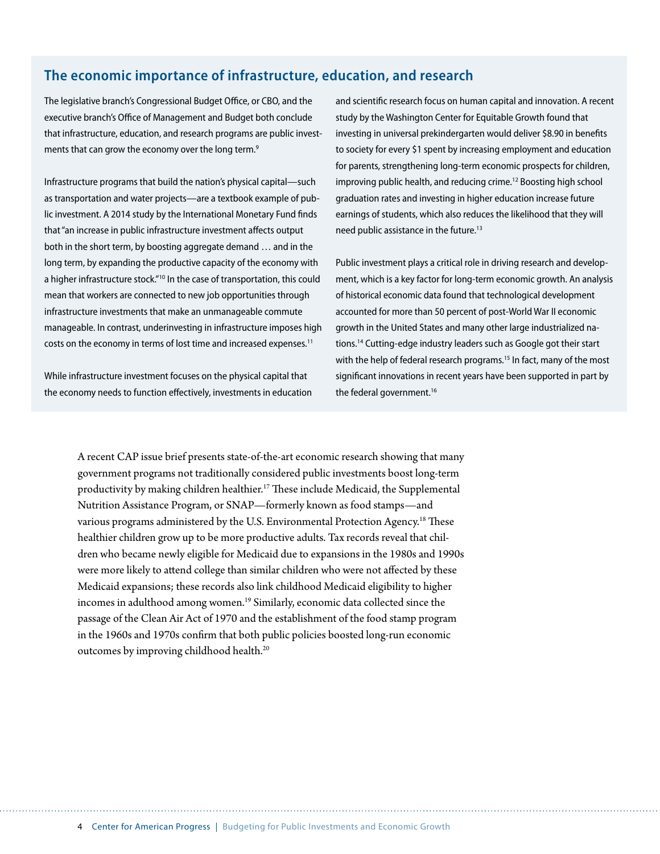### **The economic importance of infrastructure, education, and research**

The legislative branch's Congressional Budget Office, or CBO, and the executive branch's Office of Management and Budget both conclude that infrastructure, education, and research programs are public investments that can grow the economy over the long term.<sup>9</sup>

Infrastructure programs that build the nation's physical capital—such as transportation and water projects—are a textbook example of public investment. A 2014 study by the International Monetary Fund finds that "an increase in public infrastructure investment affects output both in the short term, by boosting aggregate demand … and in the long term, by expanding the productive capacity of the economy with a higher infrastructure stock."<sup>10</sup> In the case of transportation, this could mean that workers are connected to new job opportunities through infrastructure investments that make an unmanageable commute manageable. In contrast, underinvesting in infrastructure imposes high costs on the economy in terms of lost time and increased expenses.<sup>11</sup>

While infrastructure investment focuses on the physical capital that the economy needs to function effectively, investments in education and scientific research focus on human capital and innovation. A recent study by the Washington Center for Equitable Growth found that investing in universal prekindergarten would deliver \$8.90 in benefits to society for every \$1 spent by increasing employment and education for parents, strengthening long-term economic prospects for children, improving public health, and reducing crime.<sup>12</sup> Boosting high school graduation rates and investing in higher education increase future earnings of students, which also reduces the likelihood that they will need public assistance in the future.<sup>13</sup>

Public investment plays a critical role in driving research and development, which is a key factor for long-term economic growth. An analysis of historical economic data found that technological development accounted for more than 50 percent of post-World War II economic growth in the United States and many other large industrialized nations.<sup>14</sup> Cutting-edge industry leaders such as Google got their start with the help of federal research programs.<sup>15</sup> In fact, many of the most significant innovations in recent years have been supported in part by the federal government.<sup>16</sup>

A recent CAP issue brief presents state-of-the-art economic research showing that many government programs not traditionally considered public investments boost long-term productivity by making children healthier.17 These include Medicaid, the Supplemental Nutrition Assistance Program, or SNAP—formerly known as food stamps—and various programs administered by the U.S. Environmental Protection Agency.<sup>18</sup> These healthier children grow up to be more productive adults. Tax records reveal that children who became newly eligible for Medicaid due to expansions in the 1980s and 1990s were more likely to attend college than similar children who were not affected by these Medicaid expansions; these records also link childhood Medicaid eligibility to higher incomes in adulthood among women.<sup>19</sup> Similarly, economic data collected since the passage of the Clean Air Act of 1970 and the establishment of the food stamp program in the 1960s and 1970s confirm that both public policies boosted long-run economic outcomes by improving childhood health.<sup>20</sup>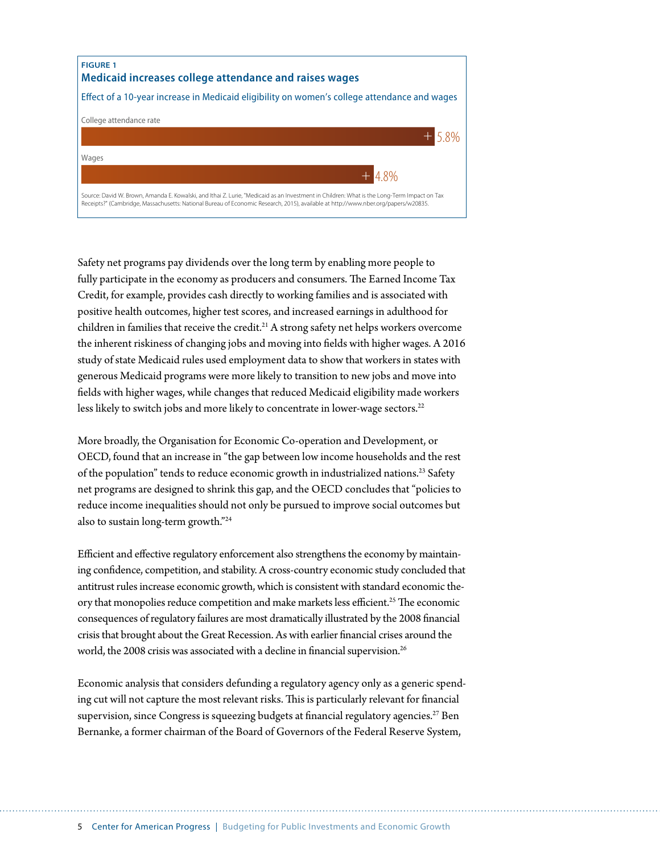

Safety net programs pay dividends over the long term by enabling more people to fully participate in the economy as producers and consumers. The Earned Income Tax Credit, for example, provides cash directly to working families and is associated with positive health outcomes, higher test scores, and increased earnings in adulthood for children in families that receive the credit.<sup>21</sup> A strong safety net helps workers overcome the inherent riskiness of changing jobs and moving into fields with higher wages. A 2016 study of state Medicaid rules used employment data to show that workers in states with generous Medicaid programs were more likely to transition to new jobs and move into fields with higher wages, while changes that reduced Medicaid eligibility made workers less likely to switch jobs and more likely to concentrate in lower-wage sectors.<sup>22</sup>

More broadly, the Organisation for Economic Co-operation and Development, or OECD, found that an increase in "the gap between low income households and the rest of the population" tends to reduce economic growth in industrialized nations.23 Safety net programs are designed to shrink this gap, and the OECD concludes that "policies to reduce income inequalities should not only be pursued to improve social outcomes but also to sustain long-term growth."24

Efficient and effective regulatory enforcement also strengthens the economy by maintaining confidence, competition, and stability. A cross-country economic study concluded that antitrust rules increase economic growth, which is consistent with standard economic theory that monopolies reduce competition and make markets less efficient.<sup>25</sup> The economic consequences of regulatory failures are most dramatically illustrated by the 2008 financial crisis that brought about the Great Recession. As with earlier financial crises around the world, the 2008 crisis was associated with a decline in financial supervision.<sup>26</sup>

Economic analysis that considers defunding a regulatory agency only as a generic spending cut will not capture the most relevant risks. This is particularly relevant for financial supervision, since Congress is squeezing budgets at financial regulatory agencies.<sup>27</sup> Ben Bernanke, a former chairman of the Board of Governors of the Federal Reserve System,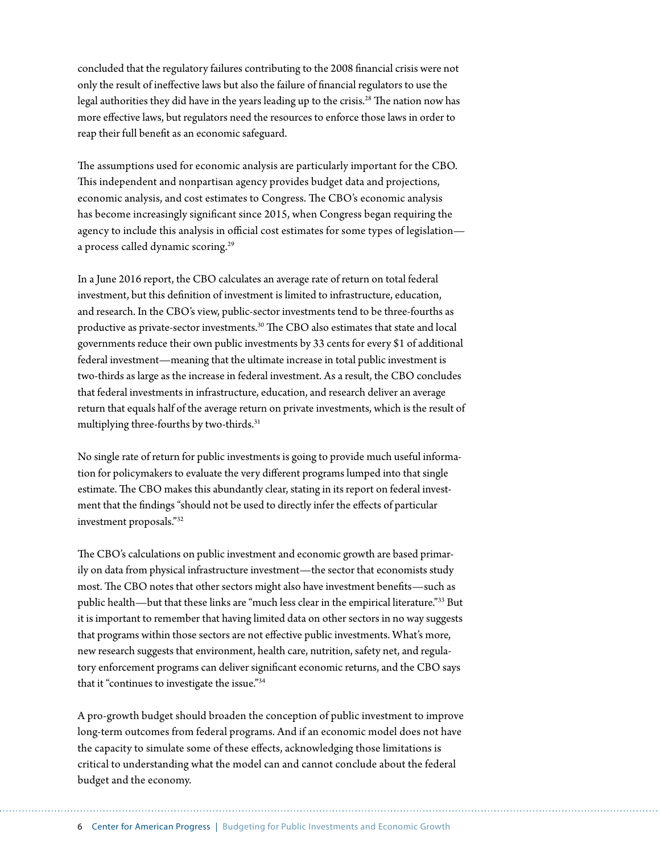concluded that the regulatory failures contributing to the 2008 financial crisis were not only the result of ineffective laws but also the failure of financial regulators to use the legal authorities they did have in the years leading up to the crisis.<sup>28</sup> The nation now has more effective laws, but regulators need the resources to enforce those laws in order to reap their full benefit as an economic safeguard.

The assumptions used for economic analysis are particularly important for the CBO. This independent and nonpartisan agency provides budget data and projections, economic analysis, and cost estimates to Congress. The CBO's economic analysis has become increasingly significant since 2015, when Congress began requiring the agency to include this analysis in official cost estimates for some types of legislation a process called dynamic scoring.29

In a June 2016 report, the CBO calculates an average rate of return on total federal investment, but this definition of investment is limited to infrastructure, education, and research. In the CBO's view, public-sector investments tend to be three-fourths as productive as private-sector investments.30 The CBO also estimates that state and local governments reduce their own public investments by 33 cents for every \$1 of additional federal investment—meaning that the ultimate increase in total public investment is two-thirds as large as the increase in federal investment. As a result, the CBO concludes that federal investments in infrastructure, education, and research deliver an average return that equals half of the average return on private investments, which is the result of multiplying three-fourths by two-thirds.<sup>31</sup>

No single rate of return for public investments is going to provide much useful information for policymakers to evaluate the very different programs lumped into that single estimate. The CBO makes this abundantly clear, stating in its report on federal investment that the findings "should not be used to directly infer the effects of particular investment proposals."32

The CBO's calculations on public investment and economic growth are based primarily on data from physical infrastructure investment—the sector that economists study most. The CBO notes that other sectors might also have investment benefits—such as public health—but that these links are "much less clear in the empirical literature."33 But it is important to remember that having limited data on other sectors in no way suggests that programs within those sectors are not effective public investments. What's more, new research suggests that environment, health care, nutrition, safety net, and regulatory enforcement programs can deliver significant economic returns, and the CBO says that it "continues to investigate the issue."34

A pro-growth budget should broaden the conception of public investment to improve long-term outcomes from federal programs. And if an economic model does not have the capacity to simulate some of these effects, acknowledging those limitations is critical to understanding what the model can and cannot conclude about the federal budget and the economy.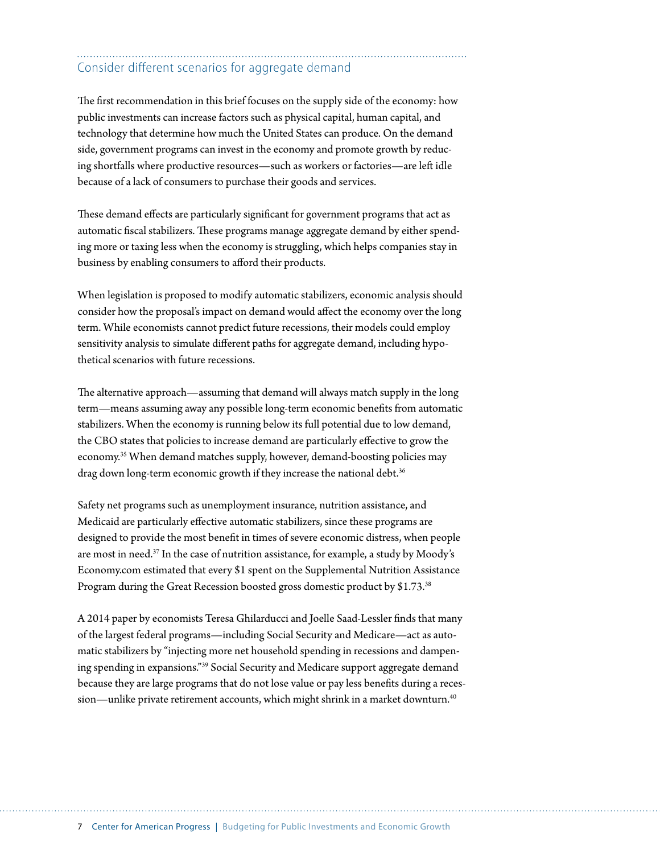### Consider different scenarios for aggregate demand

The first recommendation in this brief focuses on the supply side of the economy: how public investments can increase factors such as physical capital, human capital, and technology that determine how much the United States can produce. On the demand side, government programs can invest in the economy and promote growth by reducing shortfalls where productive resources—such as workers or factories—are left idle because of a lack of consumers to purchase their goods and services.

These demand effects are particularly significant for government programs that act as automatic fiscal stabilizers. These programs manage aggregate demand by either spending more or taxing less when the economy is struggling, which helps companies stay in business by enabling consumers to afford their products.

When legislation is proposed to modify automatic stabilizers, economic analysis should consider how the proposal's impact on demand would affect the economy over the long term. While economists cannot predict future recessions, their models could employ sensitivity analysis to simulate different paths for aggregate demand, including hypothetical scenarios with future recessions.

The alternative approach—assuming that demand will always match supply in the long term—means assuming away any possible long-term economic benefits from automatic stabilizers. When the economy is running below its full potential due to low demand, the CBO states that policies to increase demand are particularly effective to grow the economy.35 When demand matches supply, however, demand-boosting policies may drag down long-term economic growth if they increase the national debt.<sup>36</sup>

Safety net programs such as unemployment insurance, nutrition assistance, and Medicaid are particularly effective automatic stabilizers, since these programs are designed to provide the most benefit in times of severe economic distress, when people are most in need.37 In the case of nutrition assistance, for example, a study by Moody's Economy.com estimated that every \$1 spent on the Supplemental Nutrition Assistance Program during the Great Recession boosted gross domestic product by \$1.73.<sup>38</sup>

A 2014 paper by economists Teresa Ghilarducci and Joelle Saad-Lessler finds that many of the largest federal programs—including Social Security and Medicare—act as automatic stabilizers by "injecting more net household spending in recessions and dampening spending in expansions."39 Social Security and Medicare support aggregate demand because they are large programs that do not lose value or pay less benefits during a recession—unlike private retirement accounts, which might shrink in a market downturn.<sup>40</sup>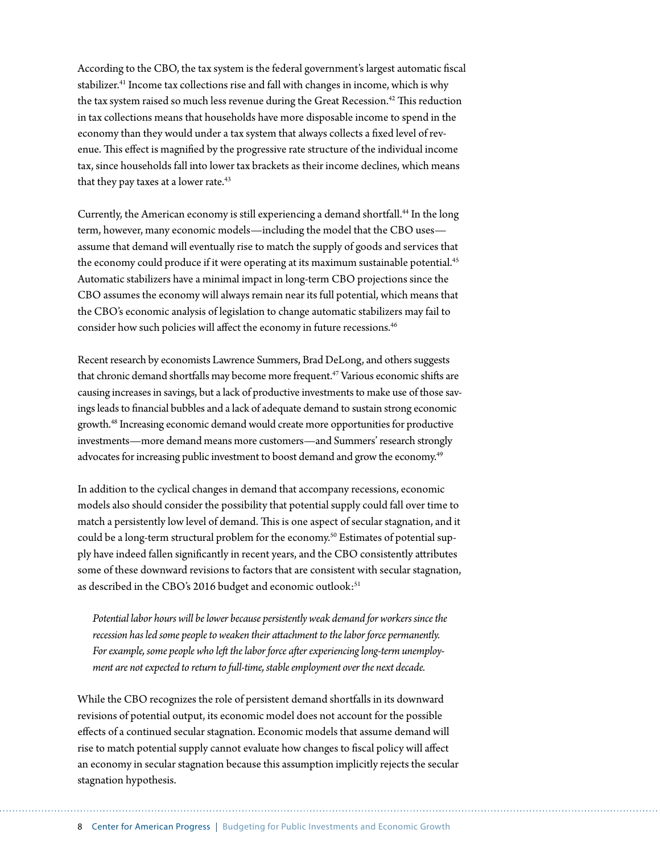According to the CBO, the tax system is the federal government's largest automatic fiscal stabilizer.<sup>41</sup> Income tax collections rise and fall with changes in income, which is why the tax system raised so much less revenue during the Great Recession.<sup>42</sup> This reduction in tax collections means that households have more disposable income to spend in the economy than they would under a tax system that always collects a fixed level of revenue. This effect is magnified by the progressive rate structure of the individual income tax, since households fall into lower tax brackets as their income declines, which means that they pay taxes at a lower rate.<sup>43</sup>

Currently, the American economy is still experiencing a demand shortfall.<sup>44</sup> In the long term, however, many economic models—including the model that the CBO uses assume that demand will eventually rise to match the supply of goods and services that the economy could produce if it were operating at its maximum sustainable potential.<sup>45</sup> Automatic stabilizers have a minimal impact in long-term CBO projections since the CBO assumes the economy will always remain near its full potential, which means that the CBO's economic analysis of legislation to change automatic stabilizers may fail to consider how such policies will affect the economy in future recessions.<sup>46</sup>

Recent research by economists Lawrence Summers, Brad DeLong, and others suggests that chronic demand shortfalls may become more frequent.<sup>47</sup> Various economic shifts are causing increases in savings, but a lack of productive investments to make use of those savings leads to financial bubbles and a lack of adequate demand to sustain strong economic growth.48 Increasing economic demand would create more opportunities for productive investments—more demand means more customers—and Summers' research strongly advocates for increasing public investment to boost demand and grow the economy.<sup>49</sup>

In addition to the cyclical changes in demand that accompany recessions, economic models also should consider the possibility that potential supply could fall over time to match a persistently low level of demand. This is one aspect of secular stagnation, and it could be a long-term structural problem for the economy.<sup>50</sup> Estimates of potential supply have indeed fallen significantly in recent years, and the CBO consistently attributes some of these downward revisions to factors that are consistent with secular stagnation, as described in the CBO's 2016 budget and economic outlook:<sup>51</sup>

*Potential labor hours will be lower because persistently weak demand for workers since the recession has led some people to weaken their attachment to the labor force permanently. For example, some people who left the labor force after experiencing long-term unemployment are not expected to return to full-time, stable employment over the next decade.*

While the CBO recognizes the role of persistent demand shortfalls in its downward revisions of potential output, its economic model does not account for the possible effects of a continued secular stagnation. Economic models that assume demand will rise to match potential supply cannot evaluate how changes to fiscal policy will affect an economy in secular stagnation because this assumption implicitly rejects the secular stagnation hypothesis.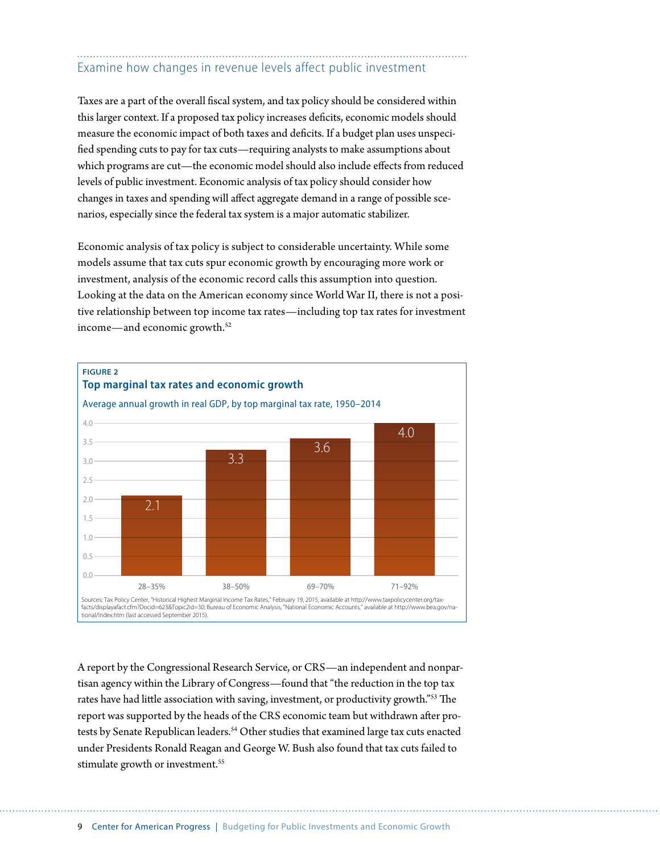## Examine how changes in revenue levels affect public investment

Taxes are a part of the overall fiscal system, and tax policy should be considered within this larger context. If a proposed tax policy increases deficits, economic models should measure the economic impact of both taxes and deficits. If a budget plan uses unspecified spending cuts to pay for tax cuts—requiring analysts to make assumptions about which programs are cut—the economic model should also include effects from reduced levels of public investment. Economic analysis of tax policy should consider how changes in taxes and spending will affect aggregate demand in a range of possible scenarios, especially since the federal tax system is a major automatic stabilizer.

Economic analysis of tax policy is subject to considerable uncertainty. While some models assume that tax cuts spur economic growth by encouraging more work or investment, analysis of the economic record calls this assumption into question. Looking at the data on the American economy since World War II, there is not a positive relationship between top income tax rates—including top tax rates for investment income—and economic growth.52



A report by the Congressional Research Service, or CRS—an independent and nonpartisan agency within the Library of Congress—found that "the reduction in the top tax rates have had little association with saving, investment, or productivity growth."53 The report was supported by the heads of the CRS economic team but withdrawn after protests by Senate Republican leaders.<sup>54</sup> Other studies that examined large tax cuts enacted under Presidents Ronald Reagan and George W. Bush also found that tax cuts failed to stimulate growth or investment.<sup>55</sup>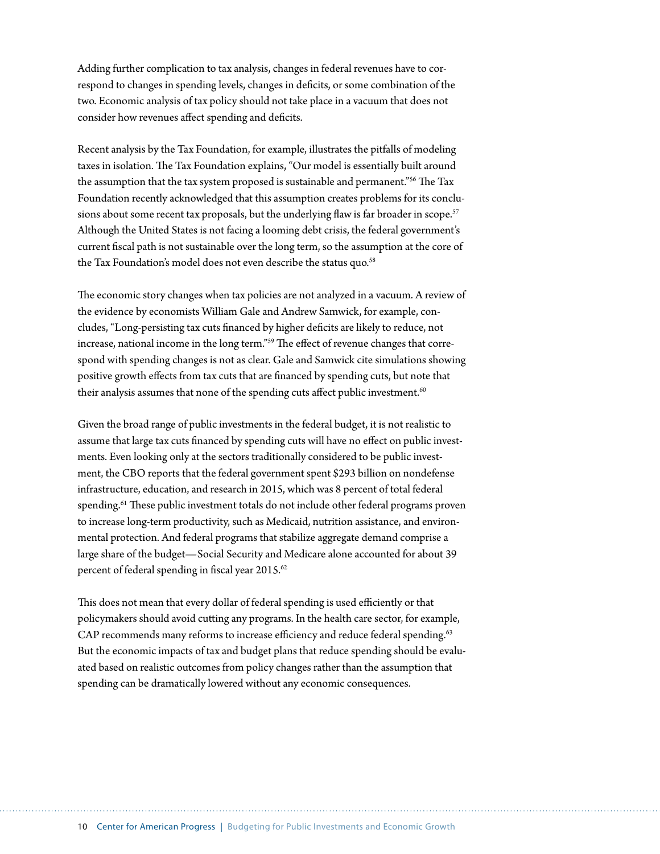Adding further complication to tax analysis, changes in federal revenues have to correspond to changes in spending levels, changes in deficits, or some combination of the two. Economic analysis of tax policy should not take place in a vacuum that does not consider how revenues affect spending and deficits.

Recent analysis by the Tax Foundation, for example, illustrates the pitfalls of modeling taxes in isolation. The Tax Foundation explains, "Our model is essentially built around the assumption that the tax system proposed is sustainable and permanent."56 The Tax Foundation recently acknowledged that this assumption creates problems for its conclusions about some recent tax proposals, but the underlying flaw is far broader in scope.<sup>57</sup> Although the United States is not facing a looming debt crisis, the federal government's current fiscal path is not sustainable over the long term, so the assumption at the core of the Tax Foundation's model does not even describe the status quo.<sup>58</sup>

The economic story changes when tax policies are not analyzed in a vacuum. A review of the evidence by economists William Gale and Andrew Samwick, for example, concludes, "Long-persisting tax cuts financed by higher deficits are likely to reduce, not increase, national income in the long term."59 The effect of revenue changes that correspond with spending changes is not as clear. Gale and Samwick cite simulations showing positive growth effects from tax cuts that are financed by spending cuts, but note that their analysis assumes that none of the spending cuts affect public investment.<sup>60</sup>

Given the broad range of public investments in the federal budget, it is not realistic to assume that large tax cuts financed by spending cuts will have no effect on public investments. Even looking only at the sectors traditionally considered to be public investment, the CBO reports that the federal government spent \$293 billion on nondefense infrastructure, education, and research in 2015, which was 8 percent of total federal spending.<sup>61</sup> These public investment totals do not include other federal programs proven to increase long-term productivity, such as Medicaid, nutrition assistance, and environmental protection. And federal programs that stabilize aggregate demand comprise a large share of the budget—Social Security and Medicare alone accounted for about 39 percent of federal spending in fiscal year 2015.<sup>62</sup>

This does not mean that every dollar of federal spending is used efficiently or that policymakers should avoid cutting any programs. In the health care sector, for example, CAP recommends many reforms to increase efficiency and reduce federal spending.<sup>63</sup> But the economic impacts of tax and budget plans that reduce spending should be evaluated based on realistic outcomes from policy changes rather than the assumption that spending can be dramatically lowered without any economic consequences.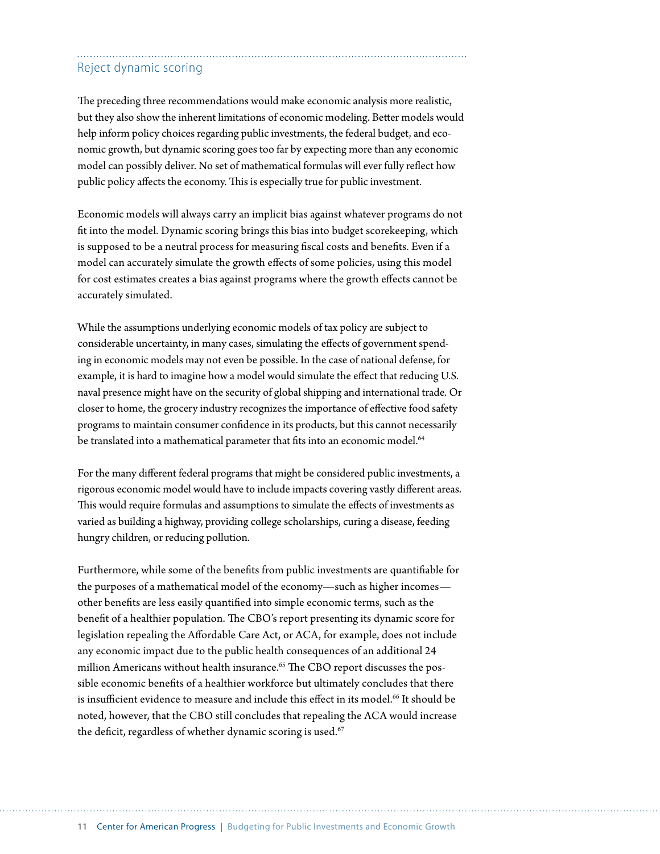### Reject dynamic scoring

The preceding three recommendations would make economic analysis more realistic, but they also show the inherent limitations of economic modeling. Better models would help inform policy choices regarding public investments, the federal budget, and economic growth, but dynamic scoring goes too far by expecting more than any economic model can possibly deliver. No set of mathematical formulas will ever fully reflect how public policy affects the economy. This is especially true for public investment.

Economic models will always carry an implicit bias against whatever programs do not fit into the model. Dynamic scoring brings this bias into budget scorekeeping, which is supposed to be a neutral process for measuring fiscal costs and benefits. Even if a model can accurately simulate the growth effects of some policies, using this model for cost estimates creates a bias against programs where the growth effects cannot be accurately simulated.

While the assumptions underlying economic models of tax policy are subject to considerable uncertainty, in many cases, simulating the effects of government spending in economic models may not even be possible. In the case of national defense, for example, it is hard to imagine how a model would simulate the effect that reducing U.S. naval presence might have on the security of global shipping and international trade. Or closer to home, the grocery industry recognizes the importance of effective food safety programs to maintain consumer confidence in its products, but this cannot necessarily be translated into a mathematical parameter that fits into an economic model.<sup>64</sup>

For the many different federal programs that might be considered public investments, a rigorous economic model would have to include impacts covering vastly different areas. This would require formulas and assumptions to simulate the effects of investments as varied as building a highway, providing college scholarships, curing a disease, feeding hungry children, or reducing pollution.

Furthermore, while some of the benefits from public investments are quantifiable for the purposes of a mathematical model of the economy—such as higher incomes other benefits are less easily quantified into simple economic terms, such as the benefit of a healthier population. The CBO's report presenting its dynamic score for legislation repealing the Affordable Care Act, or ACA, for example, does not include any economic impact due to the public health consequences of an additional 24 million Americans without health insurance.<sup>65</sup> The CBO report discusses the possible economic benefits of a healthier workforce but ultimately concludes that there is insufficient evidence to measure and include this effect in its model.<sup>66</sup> It should be noted, however, that the CBO still concludes that repealing the ACA would increase the deficit, regardless of whether dynamic scoring is used.<sup>67</sup>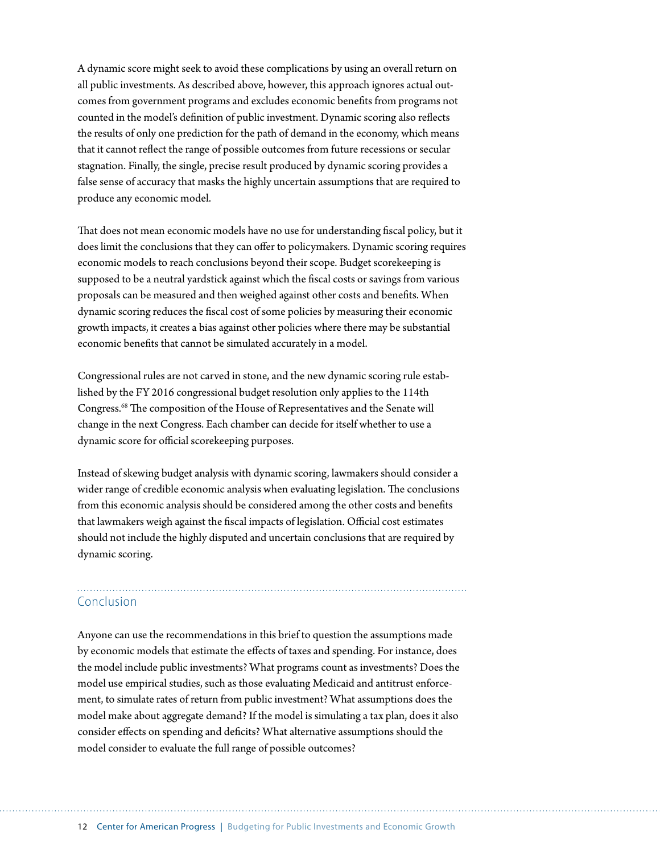A dynamic score might seek to avoid these complications by using an overall return on all public investments. As described above, however, this approach ignores actual outcomes from government programs and excludes economic benefits from programs not counted in the model's definition of public investment. Dynamic scoring also reflects the results of only one prediction for the path of demand in the economy, which means that it cannot reflect the range of possible outcomes from future recessions or secular stagnation. Finally, the single, precise result produced by dynamic scoring provides a false sense of accuracy that masks the highly uncertain assumptions that are required to produce any economic model.

That does not mean economic models have no use for understanding fiscal policy, but it does limit the conclusions that they can offer to policymakers. Dynamic scoring requires economic models to reach conclusions beyond their scope. Budget scorekeeping is supposed to be a neutral yardstick against which the fiscal costs or savings from various proposals can be measured and then weighed against other costs and benefits. When dynamic scoring reduces the fiscal cost of some policies by measuring their economic growth impacts, it creates a bias against other policies where there may be substantial economic benefits that cannot be simulated accurately in a model.

Congressional rules are not carved in stone, and the new dynamic scoring rule established by the FY 2016 congressional budget resolution only applies to the 114th Congress.68 The composition of the House of Representatives and the Senate will change in the next Congress. Each chamber can decide for itself whether to use a dynamic score for official scorekeeping purposes.

Instead of skewing budget analysis with dynamic scoring, lawmakers should consider a wider range of credible economic analysis when evaluating legislation. The conclusions from this economic analysis should be considered among the other costs and benefits that lawmakers weigh against the fiscal impacts of legislation. Official cost estimates should not include the highly disputed and uncertain conclusions that are required by dynamic scoring.

## Conclusion

Anyone can use the recommendations in this brief to question the assumptions made by economic models that estimate the effects of taxes and spending. For instance, does the model include public investments? What programs count as investments? Does the model use empirical studies, such as those evaluating Medicaid and antitrust enforcement, to simulate rates of return from public investment? What assumptions does the model make about aggregate demand? If the model is simulating a tax plan, does it also consider effects on spending and deficits? What alternative assumptions should the model consider to evaluate the full range of possible outcomes?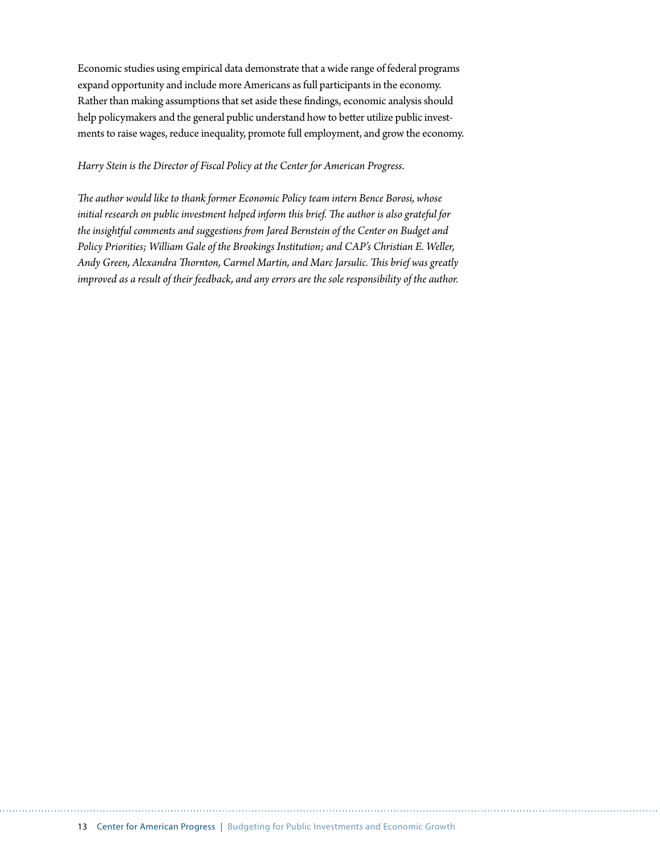Economic studies using empirical data demonstrate that a wide range of federal programs expand opportunity and include more Americans as full participants in the economy. Rather than making assumptions that set aside these findings, economic analysis should help policymakers and the general public understand how to better utilize public investments to raise wages, reduce inequality, promote full employment, and grow the economy.

#### *Harry Stein is the Director of Fiscal Policy at the Center for American Progress*.

*The author would like to thank former Economic Policy team intern Bence Borosi, whose initial research on public investment helped inform this brief. The author is also grateful for the insightful comments and suggestions from Jared Bernstein of the Center on Budget and Policy Priorities; William Gale of the Brookings Institution; and CAP's Christian E. Weller, Andy Green, Alexandra Thornton, Carmel Martin, and Marc Jarsulic. This brief was greatly improved as a result of their feedback, and any errors are the sole responsibility of the author.*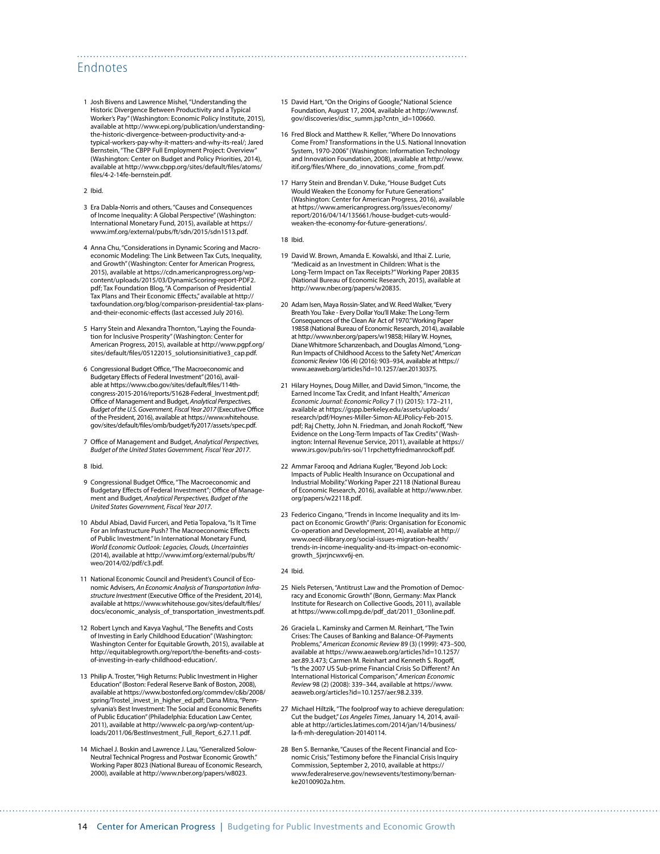#### Endnotes

1 Josh Bivens and Lawrence Mishel, "Understanding the Historic Divergence Between Productivity and a Typical Worker's Pay" (Washington: Economic Policy Institute, 2015), available at [http://www.epi.org/publication/understanding](http://www.epi.org/publication/understanding-the-historic-divergence-between-productivity-and-a-typical-workers-pay-why-it-matters-and-why-its-real/)[the-historic-divergence-between-productivity-and-a](http://www.epi.org/publication/understanding-the-historic-divergence-between-productivity-and-a-typical-workers-pay-why-it-matters-and-why-its-real/)[typical-workers-pay-why-it-matters-and-why-its-real/](http://www.epi.org/publication/understanding-the-historic-divergence-between-productivity-and-a-typical-workers-pay-why-it-matters-and-why-its-real/); Jared Bernstein, "The CBPP Full Employment Project: Overview (Washington: Center on Budget and Policy Priorities, 2014), available at [http://www.cbpp.org/sites/default/files/atoms/](http://www.cbpp.org/sites/default/files/atoms/files/4-2-14fe-bernstein.pdf) [files/4-2-14fe-bernstein.pdf.](http://www.cbpp.org/sites/default/files/atoms/files/4-2-14fe-bernstein.pdf)

2 Ibid.

- 3 Era Dabla-Norris and others, "Causes and Consequences of Income Inequality: A Global Perspective" (Washington: International Monetary Fund, 2015), available at [https://](https://www.imf.org/external/pubs/ft/sdn/2015/sdn1513.pdf) [www.imf.org/external/pubs/ft/sdn/2015/sdn1513.pdf.](https://www.imf.org/external/pubs/ft/sdn/2015/sdn1513.pdf)
- 4 Anna Chu, "Considerations in Dynamic Scoring and Macroeconomic Modeling: The Link Between Tax Cuts, Inequality, and Growth" (Washington: Center for American Progress, 2015), available at [https://cdn.americanprogress.org/wp](https://cdn.americanprogress.org/wp-content/uploads/2015/03/DynamicScoring-report-PDF2.pdf)[content/uploads/2015/03/DynamicScoring-report-PDF2.](https://cdn.americanprogress.org/wp-content/uploads/2015/03/DynamicScoring-report-PDF2.pdf) [pdf](https://cdn.americanprogress.org/wp-content/uploads/2015/03/DynamicScoring-report-PDF2.pdf); Tax Foundation Blog, "A Comparison of Presidential Tax Plans and Their Economic Effects," available at [http://](http://taxfoundation.org/blog/comparison-presidential-tax-plans-and-their-economic-effects) [taxfoundation.org/blog/comparison-presidential-tax-plans](http://taxfoundation.org/blog/comparison-presidential-tax-plans-and-their-economic-effects)[and-their-economic-effects](http://taxfoundation.org/blog/comparison-presidential-tax-plans-and-their-economic-effects) (last accessed July 2016).
- 5 Harry Stein and Alexandra Thornton, "Laying the Foundation for Inclusive Prosperity" (Washington: Center for American Progress, 2015), available at [http://www.pgpf.org/](http://www.pgpf.org/sites/default/files/05122015_solutionsinitiative3_cap.pdf) [sites/default/files/05122015\\_solutionsinitiative3\\_cap.pdf](http://www.pgpf.org/sites/default/files/05122015_solutionsinitiative3_cap.pdf).
- 6 Congressional Budget Office, "The Macroeconomic and Budgetary Effects of Federal Investment" (2016), available at [https://www.cbo.gov/sites/default/files/114th](https://www.cbo.gov/sites/default/files/114th-congress-2015-2016/reports/51628-Federal_Investment.pdf)[congress-2015-2016/reports/51628-Federal\\_Investment.pdf;](https://www.cbo.gov/sites/default/files/114th-congress-2015-2016/reports/51628-Federal_Investment.pdf) Office of Management and Budget, *Analytical Perspectives, Budget of the U.S. Government, Fiscal Year 2017* (Executive Office of the President, 2016), available at [https://www.whitehouse.](https://www.whitehouse.gov/sites/default/files/omb/budget/fy2017/assets/spec.pdf) [gov/sites/default/files/omb/budget/fy2017/assets/spec.pdf.](https://www.whitehouse.gov/sites/default/files/omb/budget/fy2017/assets/spec.pdf)
- 7 Office of Management and Budget, *Analytical Perspectives, Budget of the United States Government, Fiscal Year 2017*.

#### 8 Ibid.

- 9 Congressional Budget Office, "The Macroeconomic and Budgetary Effects of Federal Investment"; Office of Management and Budget, *Analytical Perspectives, Budget of the United States Government, Fiscal Year 2017*.
- 10 Abdul Abiad, David Furceri, and Petia Topalova, "Is It Time For an Infrastructure Push? The Macroeconomic Effects of Public Investment." In International Monetary Fund, *World Economic Outlook: Legacies, Clouds, Uncertainties* (2014), available at [http://www.imf.org/external/pubs/ft/](http://www.imf.org/external/pubs/ft/weo/2014/02/pdf/c3.pdf) [weo/2014/02/pdf/c3.pdf](http://www.imf.org/external/pubs/ft/weo/2014/02/pdf/c3.pdf).
- 11 National Economic Council and President's Council of Economic Advisers, *An Economic Analysis of Transportation Infrastructure Investment* (Executive Office of the President, 2014), available at [https://www.whitehouse.gov/sites/default/files/](https://www.whitehouse.gov/sites/default/files/docs/economic_analysis_of_transportation_investments.pdf) [docs/economic\\_analysis\\_of\\_transportation\\_investments.pdf](https://www.whitehouse.gov/sites/default/files/docs/economic_analysis_of_transportation_investments.pdf).
- 12 Robert Lynch and Kavya Vaghul, "The Benefits and Costs of Investing in Early Childhood Education" (Washington: Washington Center for Equitable Growth, 2015), available at [http://equitablegrowth.org/report/the-benefits-and-costs](http://equitablegrowth.org/report/the-benefits-and-costs-of-investing-in-early-childhood-education/)[of-investing-in-early-childhood-education/](http://equitablegrowth.org/report/the-benefits-and-costs-of-investing-in-early-childhood-education/).
- 13 Philip A. Troster, "High Returns: Public Investment in Higher Education" (Boston: Federal Reserve Bank of Boston, 2008), available at [https://www.bostonfed.org/commdev/c&b/2008/](https://www.bostonfed.org/commdev/c&b/2008/spring/Trostel_invest_in_higher_ed.pdf) [spring/Trostel\\_invest\\_in\\_higher\\_ed.pdf;](https://www.bostonfed.org/commdev/c&b/2008/spring/Trostel_invest_in_higher_ed.pdf) Dana Mitra, "Pennsylvania's Best Investment: The Social and Economic Benefits of Public Education" (Philadelphia: Education Law Center, 2011), available at [http://www.elc-pa.org/wp-content/up](http://www.elc-pa.org/wp-content/uploads/2011/06/BestInvestment_Full_Report_6.27.11.pdf)[loads/2011/06/BestInvestment\\_Full\\_Report\\_6.27.11.pdf](http://www.elc-pa.org/wp-content/uploads/2011/06/BestInvestment_Full_Report_6.27.11.pdf).
- 14 Michael J. Boskin and Lawrence J. Lau, "Generalized Solow-Neutral Technical Progress and Postwar Economic Growth." Working Paper 8023 (National Bureau of Economic Research, 2000), available at [http://www.nber.org/papers/w8023.](http://www.nber.org/papers/w8023)
- 15 David Hart, "On the Origins of Google," National Science Foundation, August 17, 2004, available at [http://www.nsf.](http://www.nsf.gov/discoveries/disc_summ.jsp?cntn_id=100660) [gov/discoveries/disc\\_summ.jsp?cntn\\_id=100660](http://www.nsf.gov/discoveries/disc_summ.jsp?cntn_id=100660).
- 16 Fred Block and Matthew R. Keller, "Where Do Innovations Come From? Transformations in the U.S. National Innovation System, 1970-2006" (Washington: Information Technology and Innovation Foundation, 2008), available at [http://www.](http://www.itif.org/files/Where_do_innovations_come_from.pdf) [itif.org/files/Where\\_do\\_innovations\\_come\\_from.pdf](http://www.itif.org/files/Where_do_innovations_come_from.pdf).
- 17 Harry Stein and Brendan V. Duke, "House Budget Cuts Would Weaken the Economy for Future Generations" (Washington: Center for American Progress, 2016), available at [https://www.americanprogress.org/issues/economy/](https://www.americanprogress.org/issues/economy/report/2016/04/14/135661/house-budget-cuts-would-weaken-the-economy-for-future-generations/) [report/2016/04/14/135661/house-budget-cuts-would](https://www.americanprogress.org/issues/economy/report/2016/04/14/135661/house-budget-cuts-would-weaken-the-economy-for-future-generations/)[weaken-the-economy-for-future-generations/.](https://www.americanprogress.org/issues/economy/report/2016/04/14/135661/house-budget-cuts-would-weaken-the-economy-for-future-generations/)

18 Ibid.

- 19 David W. Brown, Amanda E. Kowalski, and Ithai Z. Lurie, "Medicaid as an Investment in Children: What is the Long-Term Impact on Tax Receipts?" Working Paper 20835 (National Bureau of Economic Research, 2015), available at [http://www.nber.org/papers/w20835.](http://www.nber.org/papers/w20835)
- 20 Adam Isen, Maya Rossin-Slater, and W. Reed Walker, "Every Breath You Take - Every Dollar You'll Make: The Long-Term Consequences of the Clean Air Act of 1970." Working Paper 19858 (National Bureau of Economic Research, 2014), available at [http://www.nber.org/papers/w19858;](http://www.nber.org/papers/w19858) Hilary W. Hoynes, Diane Whitmore Schanzenbach, and Douglas Almond, "Long-Run Impacts of Childhood Access to the Safety Net," *American Economic Review* 106 (4) (2016): 903–934, available at [https://](https://www.aeaweb.org/articles?id=10.1257/aer.20130375) [www.aeaweb.org/articles?id=10.1257/aer.20130375](https://www.aeaweb.org/articles?id=10.1257/aer.20130375).
- 21 Hilary Hoynes, Doug Miller, and David Simon, "Income, the Earned Income Tax Credit, and Infant Health," *American Economic Journal: Economic Policy* 7 (1) (2015): 172–211, available at [https://gspp.berkeley.edu/assets/uploads/](https://gspp.berkeley.edu/assets/uploads/research/pdf/Hoynes-Miller-Simon-AEJPolicy-Feb-2015.pdf) [research/pdf/Hoynes-Miller-Simon-AEJPolicy-Feb-2015.](https://gspp.berkeley.edu/assets/uploads/research/pdf/Hoynes-Miller-Simon-AEJPolicy-Feb-2015.pdf) [pdf;](https://gspp.berkeley.edu/assets/uploads/research/pdf/Hoynes-Miller-Simon-AEJPolicy-Feb-2015.pdf) Raj Chetty, John N. Friedman, and Jonah Rockoff, "New Evidence on the Long-Term Impacts of Tax Credits" (Washington: Internal Revenue Service, 2011), available at [https://](https://www.irs.gov/pub/irs-soi/11rpchettyfriedmanrockoff.pdf) [www.irs.gov/pub/irs-soi/11rpchettyfriedmanrockoff.pdf.](https://www.irs.gov/pub/irs-soi/11rpchettyfriedmanrockoff.pdf)
- 22 Ammar Farooq and Adriana Kugler, "Beyond Job Lock: Impacts of Public Health Insurance on Occupational and Industrial Mobility." Working Paper 22118 (National Bureau of Economic Research, 2016), available at [http://www.nber.](http://www.nber.org/papers/w22118.pdf) [org/papers/w22118.pdf](http://www.nber.org/papers/w22118.pdf).
- 23 Federico Cingano, "Trends in Income Inequality and its Impact on Economic Growth" (Paris: Organisation for Economic Co-operation and Development, 2014), available at [http://](http://www.oecd-ilibrary.org/social-issues-migration-health/trends-in-income-inequality-and-its-impact-on-economic-growth_5jxrjncwxv6j-en) [www.oecd-ilibrary.org/social-issues-migration-health/](http://www.oecd-ilibrary.org/social-issues-migration-health/trends-in-income-inequality-and-its-impact-on-economic-growth_5jxrjncwxv6j-en) [trends-in-income-inequality-and-its-impact-on-economic](http://www.oecd-ilibrary.org/social-issues-migration-health/trends-in-income-inequality-and-its-impact-on-economic-growth_5jxrjncwxv6j-en)[growth\\_5jxrjncwxv6j-en](http://www.oecd-ilibrary.org/social-issues-migration-health/trends-in-income-inequality-and-its-impact-on-economic-growth_5jxrjncwxv6j-en).

24 Ibid.

- 25 Niels Petersen, "Antitrust Law and the Promotion of Democ-racy and Economic Growth" (Bonn, Germany: Max Planck Institute for Research on Collective Goods, 2011), available at [https://www.coll.mpg.de/pdf\\_dat/2011\\_03online.pdf.](https://www.coll.mpg.de/pdf_dat/2011_03online.pdf)
- 26 Graciela L. Kaminsky and Carmen M. Reinhart, "The Twin Crises: The Causes of Banking and Balance-Of-Payments Problems," *American Economic Review* 89 (3) (1999): 473–500, available at [https://www.aeaweb.org/articles?id=10.1257/](https://www.aeaweb.org/articles?id=10.1257/aer.89.3.473) [aer.89.3.473](https://www.aeaweb.org/articles?id=10.1257/aer.89.3.473); Carmen M. Reinhart and Kenneth S. Rogoff, "Is the 2007 US Sub-prime Financial Crisis So Different? An International Historical Comparison," *American Economic Review* 98 (2) (2008): 339–344, available at [https://www.](https://www.aeaweb.org/articles?id=10.1257/aer.98.2.339) [aeaweb.org/articles?id=10.1257/aer.98.2.339](https://www.aeaweb.org/articles?id=10.1257/aer.98.2.339).
- 27 Michael Hiltzik, "The foolproof way to achieve deregulation: Cut the budget," *Los Angeles Times*, January 14, 2014, available at [http://articles.latimes.com/2014/jan/14/business/](http://articles.latimes.com/2014/jan/14/business/la-fi-mh-deregulation-20140114) [la-fi-mh-deregulation-20140114](http://articles.latimes.com/2014/jan/14/business/la-fi-mh-deregulation-20140114).
- 28 Ben S. Bernanke, "Causes of the Recent Financial and Economic Crisis," Testimony before the Financial Crisis Inquiry Commission, September 2, 2010, available at [https://](https://www.federalreserve.gov/newsevents/testimony/bernanke20100902a.htm) [www.federalreserve.gov/newsevents/testimony/bernan](https://www.federalreserve.gov/newsevents/testimony/bernanke20100902a.htm)[ke20100902a.htm](https://www.federalreserve.gov/newsevents/testimony/bernanke20100902a.htm).